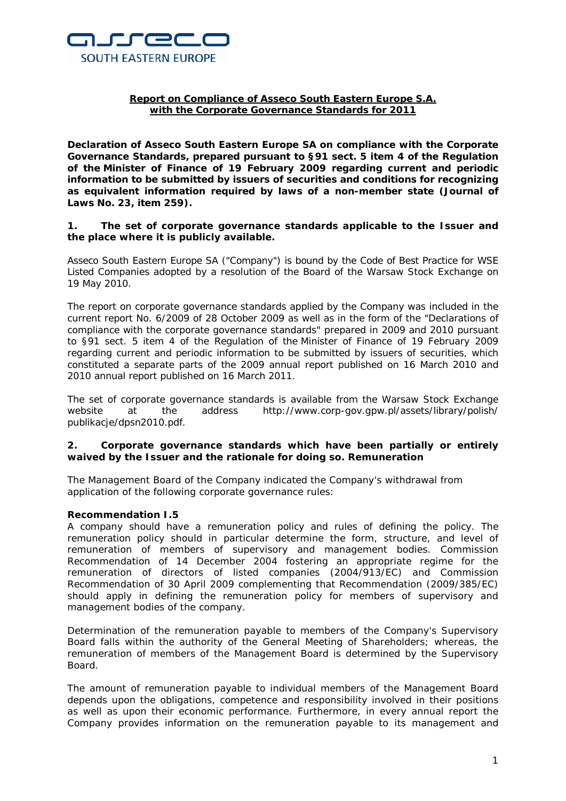

# **Report on Compliance of Asseco South Eastern Europe S.A. with the Corporate Governance Standards for 2011**

**Declaration of Asseco South Eastern Europe SA on compliance with the Corporate Governance Standards, prepared pursuant to §91 sect. 5 item 4 of the Regulation of the Minister of Finance of 19 February 2009 regarding current and periodic information to be submitted by issuers of securities and conditions for recognizing as equivalent information required by laws of a non-member state (Journal of Laws No. 23, item 259).**

### **1. The set of corporate governance standards applicable to the Issuer and the place where it is publicly available.**

Asseco South Eastern Europe SA ("Company") is bound by the Code of Best Practice for WSE Listed Companies adopted by a resolution of the Board of the Warsaw Stock Exchange on 19 May 2010.

The report on corporate governance standards applied by the Company was included in the current report No. 6/2009 of 28 October 2009 as well as in the form of the "Declarations of compliance with the corporate governance standards" prepared in 2009 and 2010 pursuant to §91 sect. 5 item 4 of the Regulation of the Minister of Finance of 19 February 2009 regarding current and periodic information to be submitted by issuers of securities, which constituted a separate parts of the 2009 annual report published on 16 March 2010 and 2010 annual report published on 16 March 2011.

The set of corporate governance standards is available from the Warsaw Stock Exchange website at the address http://www.corp-gov.gpw.pl/assets/library/polish/ publikacje/dpsn2010.pdf.

# **2. Corporate governance standards which have been partially or entirely waived by the Issuer and the rationale for doing so. Remuneration**

The Management Board of the Company indicated the Company's withdrawal from application of the following corporate governance rules:

# **Recommendation I.5**

A company should have a remuneration policy and rules of defining the policy. The remuneration policy should in particular determine the form, structure, and level of remuneration of members of supervisory and management bodies. Commission Recommendation of 14 December 2004 fostering an appropriate regime for the remuneration of directors of listed companies (2004/913/EC) and Commission Recommendation of 30 April 2009 complementing that Recommendation (2009/385/EC) should apply in defining the remuneration policy for members of supervisory and management bodies of the company.

Determination of the remuneration payable to members of the Company's Supervisory Board falls within the authority of the General Meeting of Shareholders; whereas, the remuneration of members of the Management Board is determined by the Supervisory Board.

The amount of remuneration payable to individual members of the Management Board depends upon the obligations, competence and responsibility involved in their positions as well as upon their economic performance. Furthermore, in every annual report the Company provides information on the remuneration payable to its management and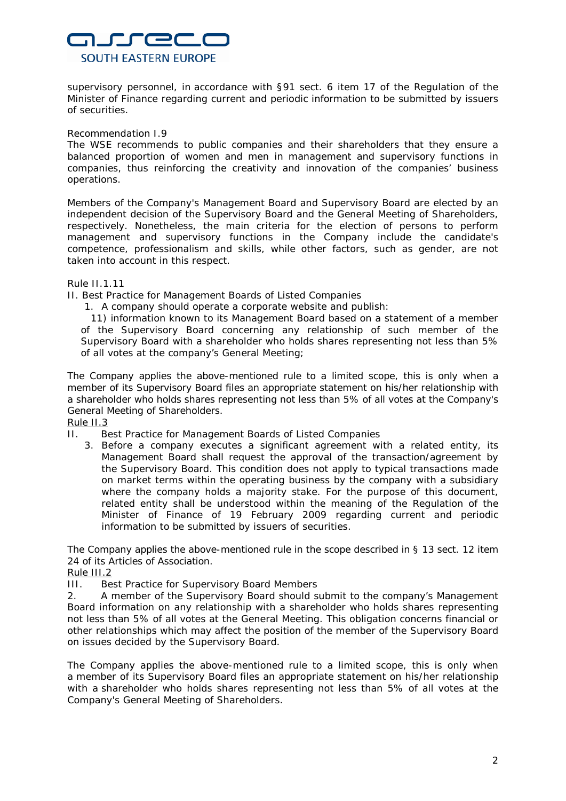

supervisory personnel, in accordance with §91 sect. 6 item 17 of the Regulation of the Minister of Finance regarding current and periodic information to be submitted by issuers of securities.

#### Recommendation I.9

The WSE recommends to public companies and their shareholders that they ensure a balanced proportion of women and men in management and supervisory functions in companies, thus reinforcing the creativity and innovation of the companies' business operations.

Members of the Company's Management Board and Supervisory Board are elected by an independent decision of the Supervisory Board and the General Meeting of Shareholders, respectively. Nonetheless, the main criteria for the election of persons to perform management and supervisory functions in the Company include the candidate's competence, professionalism and skills, while other factors, such as gender, are not taken into account in this respect.

#### Rule II.1.11

II. Best Practice for Management Boards of Listed Companies

1. A company should operate a corporate website and publish:

11) information known to its Management Board based on a statement of a member of the Supervisory Board concerning any relationship of such member of the Supervisory Board with a shareholder who holds shares representing not less than 5% of all votes at the company's General Meeting;

The Company applies the above-mentioned rule to a limited scope, this is only when a member of its Supervisory Board files an appropriate statement on his/her relationship with a shareholder who holds shares representing not less than 5% of all votes at the Company's General Meeting of Shareholders.

Rule II.3

- II. Best Practice for Management Boards of Listed Companies
	- 3. Before a company executes a significant agreement with a related entity, its Management Board shall request the approval of the transaction/agreement by the Supervisory Board. This condition does not apply to typical transactions made on market terms within the operating business by the company with a subsidiary where the company holds a majority stake. For the purpose of this document, related entity shall be understood within the meaning of the Regulation of the Minister of Finance of 19 February 2009 regarding current and periodic information to be submitted by issuers of securities.

The Company applies the above-mentioned rule in the scope described in § 13 sect. 12 item 24 of its Articles of Association.

Rule III.2

III. Best Practice for Supervisory Board Members

2. A member of the Supervisory Board should submit to the company's Management Board information on any relationship with a shareholder who holds shares representing not less than 5% of all votes at the General Meeting. This obligation concerns financial or other relationships which may affect the position of the member of the Supervisory Board on issues decided by the Supervisory Board.

The Company applies the above-mentioned rule to a limited scope, this is only when a member of its Supervisory Board files an appropriate statement on his/her relationship with a shareholder who holds shares representing not less than 5% of all votes at the Company's General Meeting of Shareholders.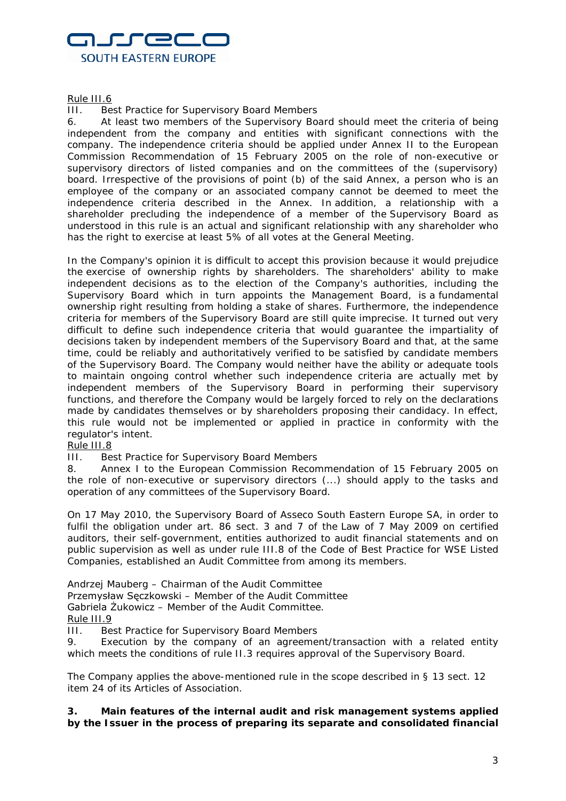

Rule III.6

III. Best Practice for Supervisory Board Members

6. At least two members of the Supervisory Board should meet the criteria of being independent from the company and entities with significant connections with the company. The independence criteria should be applied under Annex II to the European Commission Recommendation of 15 February 2005 on the role of non-executive or supervisory directors of listed companies and on the committees of the (supervisory) board. Irrespective of the provisions of point (b) of the said Annex, a person who is an employee of the company or an associated company cannot be deemed to meet the independence criteria described in the Annex. In addition, a relationship with a shareholder precluding the independence of a member of the Supervisory Board as understood in this rule is an actual and significant relationship with any shareholder who has the right to exercise at least 5% of all votes at the General Meeting.

In the Company's opinion it is difficult to accept this provision because it would prejudice the exercise of ownership rights by shareholders. The shareholders' ability to make independent decisions as to the election of the Company's authorities, including the Supervisory Board which in turn appoints the Management Board, is a fundamental ownership right resulting from holding a stake of shares. Furthermore, the independence criteria for members of the Supervisory Board are still quite imprecise. It turned out very difficult to define such independence criteria that would guarantee the impartiality of decisions taken by independent members of the Supervisory Board and that, at the same time, could be reliably and authoritatively verified to be satisfied by candidate members of the Supervisory Board. The Company would neither have the ability or adequate tools to maintain ongoing control whether such independence criteria are actually met by independent members of the Supervisory Board in performing their supervisory functions, and therefore the Company would be largely forced to rely on the declarations made by candidates themselves or by shareholders proposing their candidacy. In effect, this rule would not be implemented or applied in practice in conformity with the regulator's intent.

# Rule III.8

III. Best Practice for Supervisory Board Members

8. Annex I to the European Commission Recommendation of 15 February 2005 on the role of non-executive or supervisory directors (...) should apply to the tasks and operation of any committees of the Supervisory Board.

On 17 May 2010, the Supervisory Board of Asseco South Eastern Europe SA, in order to fulfil the obligation under art. 86 sect. 3 and 7 of the Law of 7 May 2009 on certified auditors, their self-government, entities authorized to audit financial statements and on public supervision as well as under rule III.8 of the Code of Best Practice for WSE Listed Companies, established an Audit Committee from among its members.

Andrzej Mauberg – Chairman of the Audit Committee

Przemysław Sęczkowski – Member of the Audit Committee

Gabriela Żukowicz – Member of the Audit Committee.

Rule III.9

III. Best Practice for Supervisory Board Members

9. Execution by the company of an agreement/transaction with a related entity which meets the conditions of rule II.3 requires approval of the Supervisory Board.

The Company applies the above-mentioned rule in the scope described in § 13 sect. 12 item 24 of its Articles of Association.

**3. Main features of the internal audit and risk management systems applied by the Issuer in the process of preparing its separate and consolidated financial**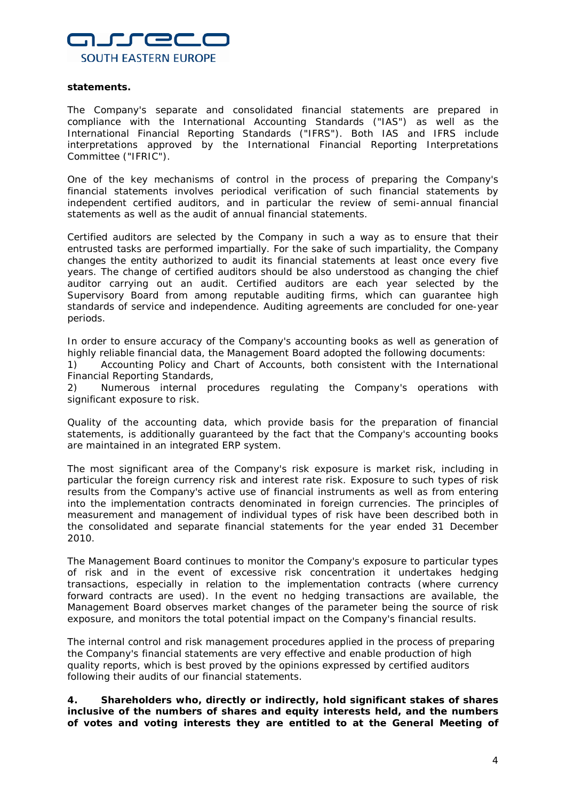

#### **statements.**

The Company's separate and consolidated financial statements are prepared in compliance with the International Accounting Standards ("IAS") as well as the International Financial Reporting Standards ("IFRS"). Both IAS and IFRS include interpretations approved by the International Financial Reporting Interpretations Committee ("IFRIC").

One of the key mechanisms of control in the process of preparing the Company's financial statements involves periodical verification of such financial statements by independent certified auditors, and in particular the review of semi-annual financial statements as well as the audit of annual financial statements.

Certified auditors are selected by the Company in such a way as to ensure that their entrusted tasks are performed impartially. For the sake of such impartiality, the Company changes the entity authorized to audit its financial statements at least once every five years. The change of certified auditors should be also understood as changing the chief auditor carrying out an audit. Certified auditors are each year selected by the Supervisory Board from among reputable auditing firms, which can guarantee high standards of service and independence. Auditing agreements are concluded for one-year periods.

In order to ensure accuracy of the Company's accounting books as well as generation of highly reliable financial data, the Management Board adopted the following documents:

1) Accounting Policy and Chart of Accounts, both consistent with the International Financial Reporting Standards,

2) Numerous internal procedures regulating the Company's operations with significant exposure to risk.

Quality of the accounting data, which provide basis for the preparation of financial statements, is additionally guaranteed by the fact that the Company's accounting books are maintained in an integrated ERP system.

The most significant area of the Company's risk exposure is market risk, including in particular the foreign currency risk and interest rate risk. Exposure to such types of risk results from the Company's active use of financial instruments as well as from entering into the implementation contracts denominated in foreign currencies. The principles of measurement and management of individual types of risk have been described both in the consolidated and separate financial statements for the year ended 31 December 2010.

The Management Board continues to monitor the Company's exposure to particular types of risk and in the event of excessive risk concentration it undertakes hedging transactions, especially in relation to the implementation contracts (where currency forward contracts are used). In the event no hedging transactions are available, the Management Board observes market changes of the parameter being the source of risk exposure, and monitors the total potential impact on the Company's financial results.

The internal control and risk management procedures applied in the process of preparing the Company's financial statements are very effective and enable production of high quality reports, which is best proved by the opinions expressed by certified auditors following their audits of our financial statements.

**4. Shareholders who, directly or indirectly, hold significant stakes of shares inclusive of the numbers of shares and equity interests held, and the numbers of votes and voting interests they are entitled to at the General Meeting of**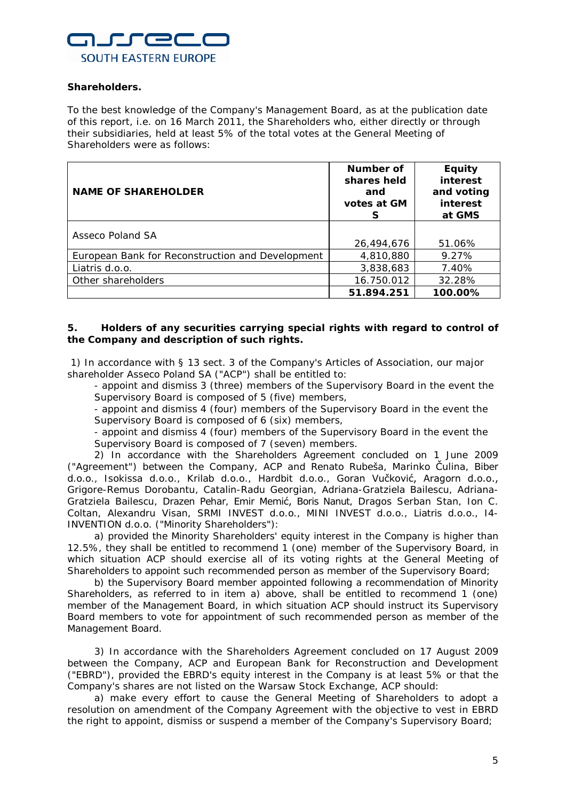

# **Shareholders.**

To the best knowledge of the Company's Management Board, as at the publication date of this report, i.e. on 16 March 2011, the Shareholders who, either directly or through their subsidiaries, held at least 5% of the total votes at the General Meeting of Shareholders were as follows:

| <b>NAME OF SHAREHOLDER</b>                       | Number of<br>shares held<br>and<br>votes at GM<br>S | <b>Equity</b><br>interest<br>and voting<br>interest<br>at GMS |
|--------------------------------------------------|-----------------------------------------------------|---------------------------------------------------------------|
| Asseco Poland SA                                 |                                                     |                                                               |
|                                                  | 26,494,676                                          | 51.06%                                                        |
| European Bank for Reconstruction and Development | 4,810,880                                           | 9.27%                                                         |
| Liatris d.o.o.                                   | 3,838,683                                           | 7.40%                                                         |
| Other shareholders                               | 16.750.012                                          | 32.28%                                                        |
|                                                  | 51.894.251                                          | 100.00%                                                       |

# **5. Holders of any securities carrying special rights with regard to control of the Company and description of such rights.**

1) In accordance with § 13 sect. 3 of the Company's Articles of Association, our major shareholder Asseco Poland SA ("ACP") shall be entitled to:

- appoint and dismiss 3 (three) members of the Supervisory Board in the event the Supervisory Board is composed of 5 (five) members,

- appoint and dismiss 4 (four) members of the Supervisory Board in the event the Supervisory Board is composed of 6 (six) members,

- appoint and dismiss 4 (four) members of the Supervisory Board in the event the Supervisory Board is composed of 7 (seven) members.

2) In accordance with the Shareholders Agreement concluded on 1 June 2009 ("Agreement") between the Company, ACP and Renato Rubeša, Marinko Čulina, Biber d.o.o., Isokissa d.o.o., Krilab d.o.o., Hardbit d.o.o., Goran Vučković, Aragorn d.o.o., Grigore-Remus Dorobantu, Catalin-Radu Georgian, Adriana-Gratziela Bailescu, Adriana-Gratziela Bailescu, Drazen Pehar, Emir Memić, Boris Nanut, Dragos Serban Stan, Ion C. Coltan, Alexandru Visan, SRMI INVEST d.o.o., MINI INVEST d.o.o., Liatris d.o.o., I4- INVENTION d.o.o. ("Minority Shareholders"):

a) provided the Minority Shareholders' equity interest in the Company is higher than 12.5%, they shall be entitled to recommend 1 (one) member of the Supervisory Board, in which situation ACP should exercise all of its voting rights at the General Meeting of Shareholders to appoint such recommended person as member of the Supervisory Board;

b) the Supervisory Board member appointed following a recommendation of Minority Shareholders, as referred to in item a) above, shall be entitled to recommend 1 (one) member of the Management Board, in which situation ACP should instruct its Supervisory Board members to vote for appointment of such recommended person as member of the Management Board.

3) In accordance with the Shareholders Agreement concluded on 17 August 2009 between the Company, ACP and European Bank for Reconstruction and Development ("EBRD"), provided the EBRD's equity interest in the Company is at least 5% or that the Company's shares are not listed on the Warsaw Stock Exchange, ACP should:

a) make every effort to cause the General Meeting of Shareholders to adopt a resolution on amendment of the Company Agreement with the objective to vest in EBRD the right to appoint, dismiss or suspend a member of the Company's Supervisory Board;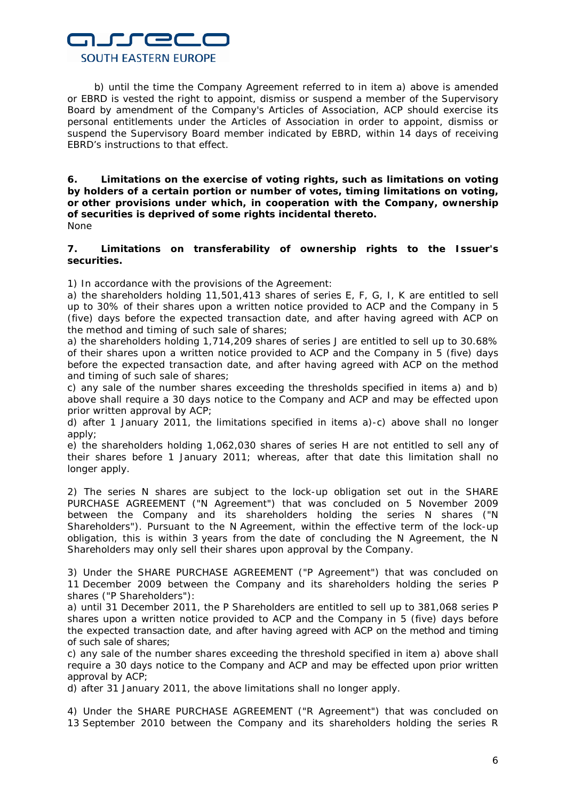# nurrec **SOUTH EASTERN EUROPE**

b) until the time the Company Agreement referred to in item a) above is amended or EBRD is vested the right to appoint, dismiss or suspend a member of the Supervisory Board by amendment of the Company's Articles of Association, ACP should exercise its personal entitlements under the Articles of Association in order to appoint, dismiss or suspend the Supervisory Board member indicated by EBRD, within 14 days of receiving EBRD's instructions to that effect.

**6. Limitations on the exercise of voting rights, such as limitations on voting by holders of a certain portion or number of votes, timing limitations on voting, or other provisions under which, in cooperation with the Company, ownership of securities is deprived of some rights incidental thereto.** None

### **7. Limitations on transferability of ownership rights to the Issuer's securities.**

1) In accordance with the provisions of the Agreement:

a) the shareholders holding 11,501,413 shares of series E, F, G, I, K are entitled to sell up to 30% of their shares upon a written notice provided to ACP and the Company in 5 (five) days before the expected transaction date, and after having agreed with ACP on the method and timing of such sale of shares;

a) the shareholders holding 1,714,209 shares of series J are entitled to sell up to 30.68% of their shares upon a written notice provided to ACP and the Company in 5 (five) days before the expected transaction date, and after having agreed with ACP on the method and timing of such sale of shares;

c) any sale of the number shares exceeding the thresholds specified in items a) and b) above shall require a 30 days notice to the Company and ACP and may be effected upon prior written approval by ACP;

d) after 1 January 2011, the limitations specified in items a)-c) above shall no longer apply;

e) the shareholders holding 1,062,030 shares of series H are not entitled to sell any of their shares before 1 January 2011; whereas, after that date this limitation shall no longer apply.

2) The series N shares are subject to the lock-up obligation set out in the SHARE PURCHASE AGREEMENT ("N Agreement") that was concluded on 5 November 2009 between the Company and its shareholders holding the series N shares ("N Shareholders"). Pursuant to the N Agreement, within the effective term of the lock-up obligation, this is within 3 years from the date of concluding the N Agreement, the N Shareholders may only sell their shares upon approval by the Company.

3) Under the SHARE PURCHASE AGREEMENT ("P Agreement") that was concluded on 11 December 2009 between the Company and its shareholders holding the series P shares ("P Shareholders"):

a) until 31 December 2011, the P Shareholders are entitled to sell up to 381,068 series P shares upon a written notice provided to ACP and the Company in 5 (five) days before the expected transaction date, and after having agreed with ACP on the method and timing of such sale of shares;

c) any sale of the number shares exceeding the threshold specified in item a) above shall require a 30 days notice to the Company and ACP and may be effected upon prior written approval by ACP;

d) after 31 January 2011, the above limitations shall no longer apply.

4) Under the SHARE PURCHASE AGREEMENT ("R Agreement") that was concluded on 13 September 2010 between the Company and its shareholders holding the series R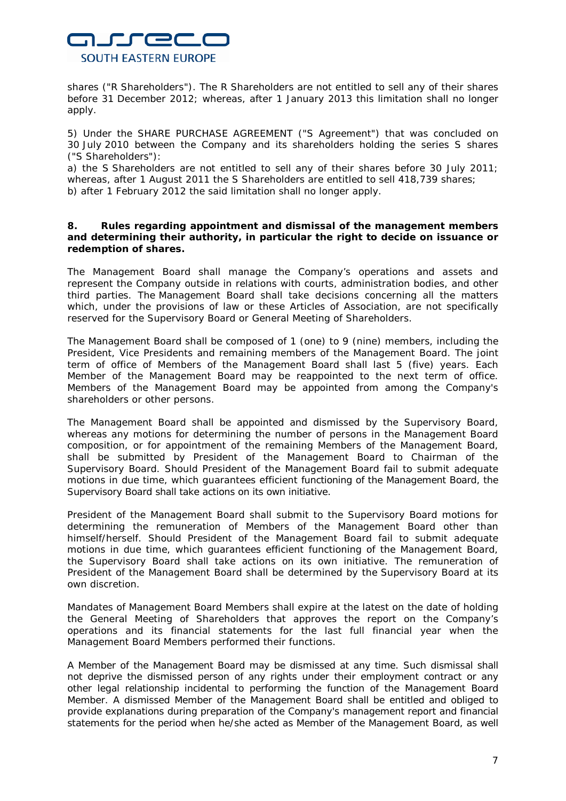

shares ("R Shareholders"). The R Shareholders are not entitled to sell any of their shares before 31 December 2012; whereas, after 1 January 2013 this limitation shall no longer apply.

5) Under the SHARE PURCHASE AGREEMENT ("S Agreement") that was concluded on 30 July 2010 between the Company and its shareholders holding the series S shares ("S Shareholders"):

a) the S Shareholders are not entitled to sell any of their shares before 30 July 2011; whereas, after 1 August 2011 the S Shareholders are entitled to sell 418,739 shares; b) after 1 February 2012 the said limitation shall no longer apply.

**8. Rules regarding appointment and dismissal of the management members and determining their authority, in particular the right to decide on issuance or redemption of shares.**

The Management Board shall manage the Company's operations and assets and represent the Company outside in relations with courts, administration bodies, and other third parties. The Management Board shall take decisions concerning all the matters which, under the provisions of law or these Articles of Association, are not specifically reserved for the Supervisory Board or General Meeting of Shareholders.

The Management Board shall be composed of 1 (one) to 9 (nine) members, including the President, Vice Presidents and remaining members of the Management Board. The joint term of office of Members of the Management Board shall last 5 (five) years. Each Member of the Management Board may be reappointed to the next term of office. Members of the Management Board may be appointed from among the Company's shareholders or other persons.

The Management Board shall be appointed and dismissed by the Supervisory Board, whereas any motions for determining the number of persons in the Management Board composition, or for appointment of the remaining Members of the Management Board, shall be submitted by President of the Management Board to Chairman of the Supervisory Board. Should President of the Management Board fail to submit adequate motions in due time, which guarantees efficient functioning of the Management Board, the Supervisory Board shall take actions on its own initiative.

President of the Management Board shall submit to the Supervisory Board motions for determining the remuneration of Members of the Management Board other than himself/herself. Should President of the Management Board fail to submit adequate motions in due time, which guarantees efficient functioning of the Management Board, the Supervisory Board shall take actions on its own initiative. The remuneration of President of the Management Board shall be determined by the Supervisory Board at its own discretion.

Mandates of Management Board Members shall expire at the latest on the date of holding the General Meeting of Shareholders that approves the report on the Company's operations and its financial statements for the last full financial year when the Management Board Members performed their functions.

A Member of the Management Board may be dismissed at any time. Such dismissal shall not deprive the dismissed person of any rights under their employment contract or any other legal relationship incidental to performing the function of the Management Board Member. A dismissed Member of the Management Board shall be entitled and obliged to provide explanations during preparation of the Company's management report and financial statements for the period when he/she acted as Member of the Management Board, as well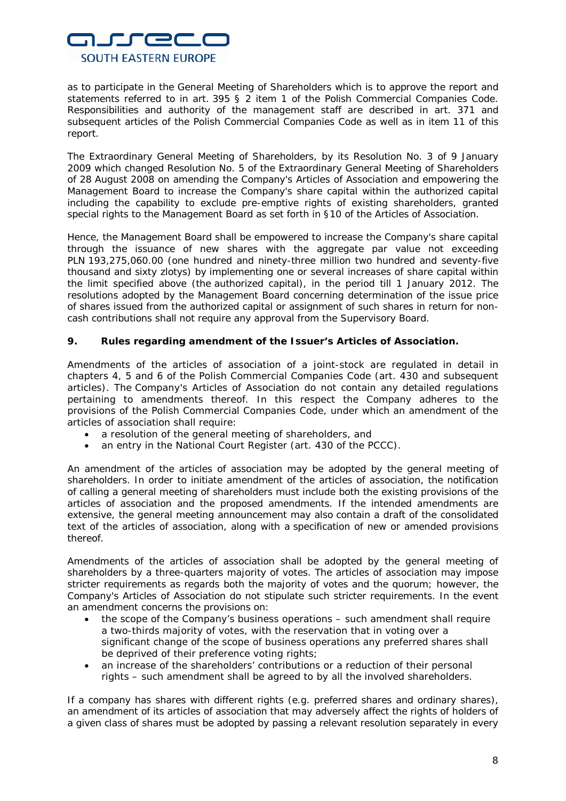

as to participate in the General Meeting of Shareholders which is to approve the report and statements referred to in art. 395 § 2 item 1 of the Polish Commercial Companies Code. Responsibilities and authority of the management staff are described in art. 371 and subsequent articles of the Polish Commercial Companies Code as well as in item 11 of this report.

The Extraordinary General Meeting of Shareholders, by its Resolution No. 3 of 9 January 2009 which changed Resolution No. 5 of the Extraordinary General Meeting of Shareholders of 28 August 2008 on amending the Company's Articles of Association and empowering the Management Board to increase the Company's share capital within the authorized capital including the capability to exclude pre-emptive rights of existing shareholders, granted special rights to the Management Board as set forth in §10 of the Articles of Association.

Hence, the Management Board shall be empowered to increase the Company's share capital through the issuance of new shares with the aggregate par value not exceeding PLN 193,275,060.00 (one hundred and ninety-three million two hundred and seventy-five thousand and sixty zlotys) by implementing one or several increases of share capital within the limit specified above (the authorized capital), in the period till 1 January 2012. The resolutions adopted by the Management Board concerning determination of the issue price of shares issued from the authorized capital or assignment of such shares in return for noncash contributions shall not require any approval from the Supervisory Board.

# **9. Rules regarding amendment of the Issuer's Articles of Association.**

Amendments of the articles of association of a joint-stock are regulated in detail in chapters 4, 5 and 6 of the Polish Commercial Companies Code (art. 430 and subsequent articles). The Company's Articles of Association do not contain any detailed regulations pertaining to amendments thereof. In this respect the Company adheres to the provisions of the Polish Commercial Companies Code, under which an amendment of the articles of association shall require:

- a resolution of the general meeting of shareholders, and
- an entry in the National Court Register (art. 430 of the PCCC).

An amendment of the articles of association may be adopted by the general meeting of shareholders. In order to initiate amendment of the articles of association, the notification of calling a general meeting of shareholders must include both the existing provisions of the articles of association and the proposed amendments. If the intended amendments are extensive, the general meeting announcement may also contain a draft of the consolidated text of the articles of association, along with a specification of new or amended provisions thereof.

Amendments of the articles of association shall be adopted by the general meeting of shareholders by a three-quarters majority of votes. The articles of association may impose stricter requirements as regards both the majority of votes and the quorum; however, the Company's Articles of Association do not stipulate such stricter requirements. In the event an amendment concerns the provisions on:

- the scope of the Company's business operations such amendment shall require a two-thirds majority of votes, with the reservation that in voting over a significant change of the scope of business operations any preferred shares shall be deprived of their preference voting rights;
- an increase of the shareholders' contributions or a reduction of their personal rights – such amendment shall be agreed to by all the involved shareholders.

If a company has shares with different rights (e.g. preferred shares and ordinary shares), an amendment of its articles of association that may adversely affect the rights of holders of a given class of shares must be adopted by passing a relevant resolution separately in every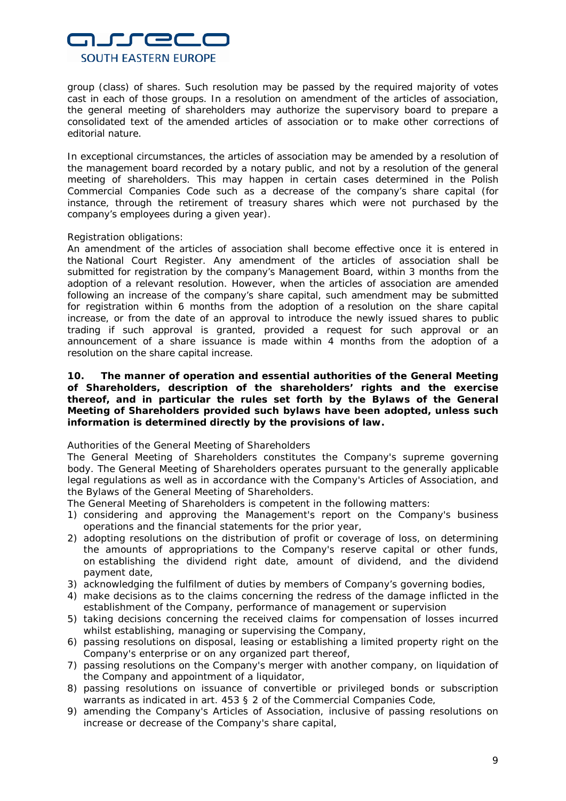

group (class) of shares. Such resolution may be passed by the required majority of votes cast in each of those groups. In a resolution on amendment of the articles of association, the general meeting of shareholders may authorize the supervisory board to prepare a consolidated text of the amended articles of association or to make other corrections of editorial nature.

In exceptional circumstances, the articles of association may be amended by a resolution of the management board recorded by a notary public, and not by a resolution of the general meeting of shareholders. This may happen in certain cases determined in the Polish Commercial Companies Code such as a decrease of the company's share capital (for instance, through the retirement of treasury shares which were not purchased by the company's employees during a given year).

#### Registration obligations:

An amendment of the articles of association shall become effective once it is entered in the National Court Register. Any amendment of the articles of association shall be submitted for registration by the company's Management Board, within 3 months from the adoption of a relevant resolution. However, when the articles of association are amended following an increase of the company's share capital, such amendment may be submitted for registration within 6 months from the adoption of a resolution on the share capital increase, or from the date of an approval to introduce the newly issued shares to public trading if such approval is granted, provided a request for such approval or an announcement of a share issuance is made within 4 months from the adoption of a resolution on the share capital increase.

**10. The manner of operation and essential authorities of the General Meeting of Shareholders, description of the shareholders' rights and the exercise thereof, and in particular the rules set forth by the Bylaws of the General Meeting of Shareholders provided such bylaws have been adopted, unless such information is determined directly by the provisions of law.**

# *Authorities of the General Meeting of Shareholders*

The General Meeting of Shareholders constitutes the Company's supreme governing body. The General Meeting of Shareholders operates pursuant to the generally applicable legal regulations as well as in accordance with the Company's Articles of Association, and the Bylaws of the General Meeting of Shareholders.

The General Meeting of Shareholders is competent in the following matters:

- 1) considering and approving the Management's report on the Company's business operations and the financial statements for the prior year,
- 2) adopting resolutions on the distribution of profit or coverage of loss, on determining the amounts of appropriations to the Company's reserve capital or other funds, on establishing the dividend right date, amount of dividend, and the dividend payment date,
- 3) acknowledging the fulfilment of duties by members of Company's governing bodies,
- 4) make decisions as to the claims concerning the redress of the damage inflicted in the establishment of the Company, performance of management or supervision
- 5) taking decisions concerning the received claims for compensation of losses incurred whilst establishing, managing or supervising the Company,
- 6) passing resolutions on disposal, leasing or establishing a limited property right on the Company's enterprise or on any organized part thereof,
- 7) passing resolutions on the Company's merger with another company, on liquidation of the Company and appointment of a liquidator,
- 8) passing resolutions on issuance of convertible or privileged bonds or subscription warrants as indicated in art. 453 § 2 of the Commercial Companies Code,
- 9) amending the Company's Articles of Association, inclusive of passing resolutions on increase or decrease of the Company's share capital,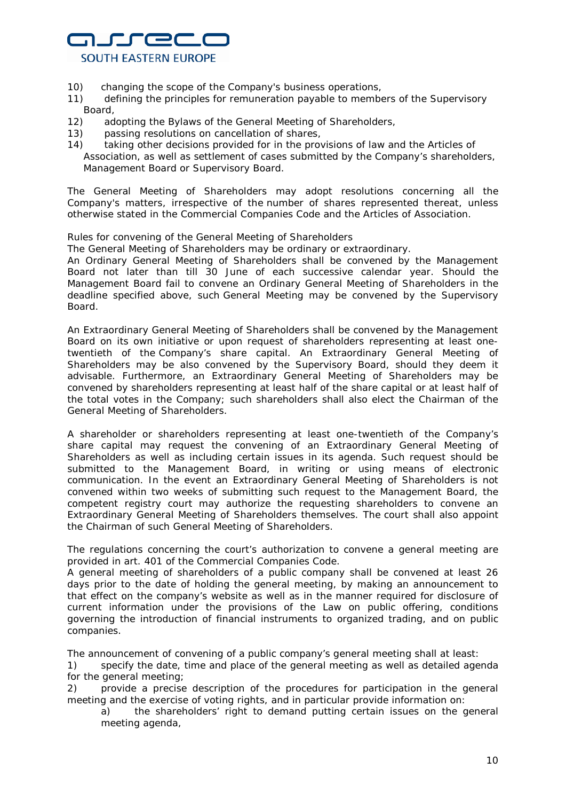

- 10) changing the scope of the Company's business operations,
- 11) defining the principles for remuneration payable to members of the Supervisory Board,
- 12) adopting the Bylaws of the General Meeting of Shareholders,
- 13) passing resolutions on cancellation of shares,
- 14) taking other decisions provided for in the provisions of law and the Articles of Association, as well as settlement of cases submitted by the Company's shareholders, Management Board or Supervisory Board.

The General Meeting of Shareholders may adopt resolutions concerning all the Company's matters, irrespective of the number of shares represented thereat, unless otherwise stated in the Commercial Companies Code and the Articles of Association.

#### *Rules for convening of the General Meeting of Shareholders*

The General Meeting of Shareholders may be ordinary or extraordinary. An Ordinary General Meeting of Shareholders shall be convened by the Management

Board not later than till 30 June of each successive calendar year. Should the Management Board fail to convene an Ordinary General Meeting of Shareholders in the deadline specified above, such General Meeting may be convened by the Supervisory Board.

An Extraordinary General Meeting of Shareholders shall be convened by the Management Board on its own initiative or upon request of shareholders representing at least onetwentieth of the Company's share capital. An Extraordinary General Meeting of Shareholders may be also convened by the Supervisory Board, should they deem it advisable. Furthermore, an Extraordinary General Meeting of Shareholders may be convened by shareholders representing at least half of the share capital or at least half of the total votes in the Company; such shareholders shall also elect the Chairman of the General Meeting of Shareholders.

A shareholder or shareholders representing at least one-twentieth of the Company's share capital may request the convening of an Extraordinary General Meeting of Shareholders as well as including certain issues in its agenda. Such request should be submitted to the Management Board, in writing or using means of electronic communication. In the event an Extraordinary General Meeting of Shareholders is not convened within two weeks of submitting such request to the Management Board, the competent registry court may authorize the requesting shareholders to convene an Extraordinary General Meeting of Shareholders themselves. The court shall also appoint the Chairman of such General Meeting of Shareholders.

The regulations concerning the court's authorization to convene a general meeting are provided in art. 401 of the Commercial Companies Code.

A general meeting of shareholders of a public company shall be convened at least 26 days prior to the date of holding the general meeting, by making an announcement to that effect on the company's website as well as in the manner required for disclosure of current information under the provisions of the Law on public offering, conditions governing the introduction of financial instruments to organized trading, and on public companies.

The announcement of convening of a public company's general meeting shall at least:

1) specify the date, time and place of the general meeting as well as detailed agenda for the general meeting;

2) provide a precise description of the procedures for participation in the general meeting and the exercise of voting rights, and in particular provide information on:

a) the shareholders' right to demand putting certain issues on the general meeting agenda,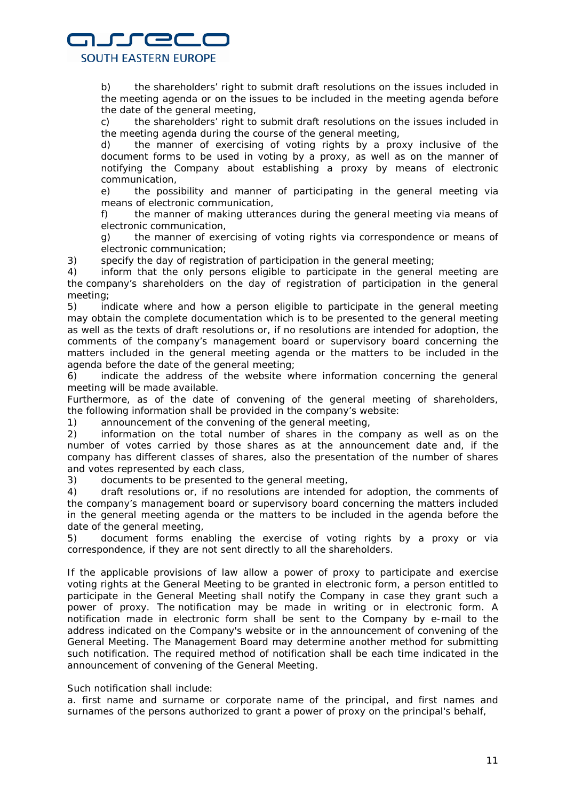# nurrec **SOUTH EASTERN EUROPE**

b) the shareholders' right to submit draft resolutions on the issues included in the meeting agenda or on the issues to be included in the meeting agenda before the date of the general meeting,

c) the shareholders' right to submit draft resolutions on the issues included in the meeting agenda during the course of the general meeting,

d) the manner of exercising of voting rights by a proxy inclusive of the document forms to be used in voting by a proxy, as well as on the manner of notifying the Company about establishing a proxy by means of electronic communication,

e) the possibility and manner of participating in the general meeting via means of electronic communication,

f) the manner of making utterances during the general meeting via means of electronic communication,

g) the manner of exercising of voting rights via correspondence or means of electronic communication;

3) specify the day of registration of participation in the general meeting;

4) inform that the only persons eligible to participate in the general meeting are the company's shareholders on the day of registration of participation in the general meeting;

5) indicate where and how a person eligible to participate in the general meeting may obtain the complete documentation which is to be presented to the general meeting as well as the texts of draft resolutions or, if no resolutions are intended for adoption, the comments of the company's management board or supervisory board concerning the matters included in the general meeting agenda or the matters to be included in the agenda before the date of the general meeting;

6) indicate the address of the website where information concerning the general meeting will be made available.

Furthermore, as of the date of convening of the general meeting of shareholders, the following information shall be provided in the company's website:

1) announcement of the convening of the general meeting,

2) information on the total number of shares in the company as well as on the number of votes carried by those shares as at the announcement date and, if the company has different classes of shares, also the presentation of the number of shares and votes represented by each class,

3) documents to be presented to the general meeting,

4) draft resolutions or, if no resolutions are intended for adoption, the comments of the company's management board or supervisory board concerning the matters included in the general meeting agenda or the matters to be included in the agenda before the date of the general meeting,

5) document forms enabling the exercise of voting rights by a proxy or via correspondence, if they are not sent directly to all the shareholders.

If the applicable provisions of law allow a power of proxy to participate and exercise voting rights at the General Meeting to be granted in electronic form, a person entitled to participate in the General Meeting shall notify the Company in case they grant such a power of proxy. The notification may be made in writing or in electronic form. A notification made in electronic form shall be sent to the Company by e-mail to the address indicated on the Company's website or in the announcement of convening of the General Meeting. The Management Board may determine another method for submitting such notification. The required method of notification shall be each time indicated in the announcement of convening of the General Meeting.

Such notification shall include:

a. first name and surname or corporate name of the principal, and first names and surnames of the persons authorized to grant a power of proxy on the principal's behalf,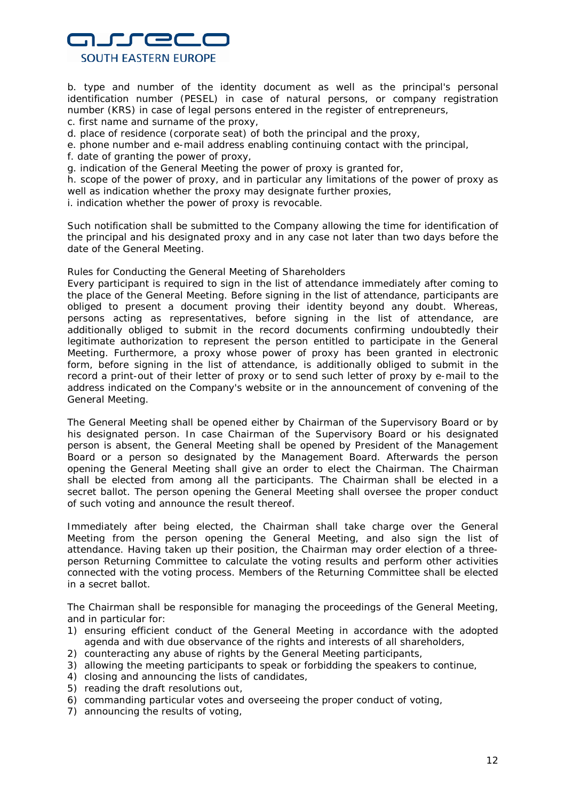# nurrec **SOUTH EASTERN EUROPE**

b. type and number of the identity document as well as the principal's personal identification number (PESEL) in case of natural persons, or company registration number (KRS) in case of legal persons entered in the register of entrepreneurs,

- c. first name and surname of the proxy,
- d. place of residence (corporate seat) of both the principal and the proxy,
- e. phone number and e-mail address enabling continuing contact with the principal,
- f. date of granting the power of proxy,
- g. indication of the General Meeting the power of proxy is granted for,

h. scope of the power of proxy, and in particular any limitations of the power of proxy as well as indication whether the proxy may designate further proxies,

i. indication whether the power of proxy is revocable.

Such notification shall be submitted to the Company allowing the time for identification of the principal and his designated proxy and in any case not later than two days before the date of the General Meeting.

#### *Rules for Conducting the General Meeting of Shareholders*

Every participant is required to sign in the list of attendance immediately after coming to the place of the General Meeting. Before signing in the list of attendance, participants are obliged to present a document proving their identity beyond any doubt. Whereas, persons acting as representatives, before signing in the list of attendance, are additionally obliged to submit in the record documents confirming undoubtedly their legitimate authorization to represent the person entitled to participate in the General Meeting. Furthermore, a proxy whose power of proxy has been granted in electronic form, before signing in the list of attendance, is additionally obliged to submit in the record a print-out of their letter of proxy or to send such letter of proxy by e-mail to the address indicated on the Company's website or in the announcement of convening of the General Meeting.

The General Meeting shall be opened either by Chairman of the Supervisory Board or by his designated person. In case Chairman of the Supervisory Board or his designated person is absent, the General Meeting shall be opened by President of the Management Board or a person so designated by the Management Board. Afterwards the person opening the General Meeting shall give an order to elect the Chairman. The Chairman shall be elected from among all the participants. The Chairman shall be elected in a secret ballot. The person opening the General Meeting shall oversee the proper conduct of such voting and announce the result thereof.

Immediately after being elected, the Chairman shall take charge over the General Meeting from the person opening the General Meeting, and also sign the list of attendance. Having taken up their position, the Chairman may order election of a threeperson Returning Committee to calculate the voting results and perform other activities connected with the voting process. Members of the Returning Committee shall be elected in a secret ballot.

The Chairman shall be responsible for managing the proceedings of the General Meeting, and in particular for:

- 1) ensuring efficient conduct of the General Meeting in accordance with the adopted agenda and with due observance of the rights and interests of all shareholders,
- 2) counteracting any abuse of rights by the General Meeting participants,
- 3) allowing the meeting participants to speak or forbidding the speakers to continue,
- 4) closing and announcing the lists of candidates,
- 5) reading the draft resolutions out,
- 6) commanding particular votes and overseeing the proper conduct of voting,
- 7) announcing the results of voting,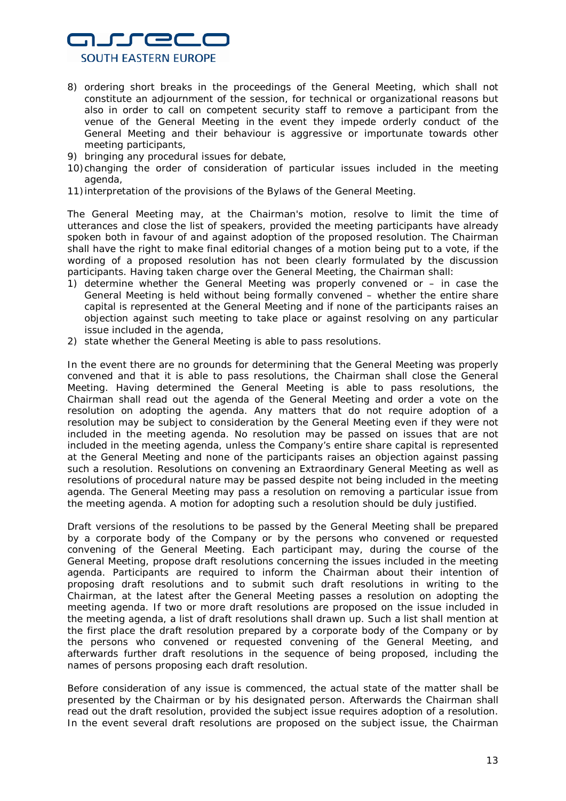

- 8) ordering short breaks in the proceedings of the General Meeting, which shall not constitute an adjournment of the session, for technical or organizational reasons but also in order to call on competent security staff to remove a participant from the venue of the General Meeting in the event they impede orderly conduct of the General Meeting and their behaviour is aggressive or importunate towards other meeting participants,
- 9) bringing any procedural issues for debate,
- 10)changing the order of consideration of particular issues included in the meeting agenda,
- 11)interpretation of the provisions of the Bylaws of the General Meeting.

The General Meeting may, at the Chairman's motion, resolve to limit the time of utterances and close the list of speakers, provided the meeting participants have already spoken both in favour of and against adoption of the proposed resolution. The Chairman shall have the right to make final editorial changes of a motion being put to a vote, if the wording of a proposed resolution has not been clearly formulated by the discussion participants. Having taken charge over the General Meeting, the Chairman shall:

- 1) determine whether the General Meeting was properly convened or in case the General Meeting is held without being formally convened – whether the entire share capital is represented at the General Meeting and if none of the participants raises an objection against such meeting to take place or against resolving on any particular issue included in the agenda,
- 2) state whether the General Meeting is able to pass resolutions.

In the event there are no grounds for determining that the General Meeting was properly convened and that it is able to pass resolutions, the Chairman shall close the General Meeting. Having determined the General Meeting is able to pass resolutions, the Chairman shall read out the agenda of the General Meeting and order a vote on the resolution on adopting the agenda. Any matters that do not require adoption of a resolution may be subject to consideration by the General Meeting even if they were not included in the meeting agenda. No resolution may be passed on issues that are not included in the meeting agenda, unless the Company's entire share capital is represented at the General Meeting and none of the participants raises an objection against passing such a resolution. Resolutions on convening an Extraordinary General Meeting as well as resolutions of procedural nature may be passed despite not being included in the meeting agenda. The General Meeting may pass a resolution on removing a particular issue from the meeting agenda. A motion for adopting such a resolution should be duly justified.

Draft versions of the resolutions to be passed by the General Meeting shall be prepared by a corporate body of the Company or by the persons who convened or requested convening of the General Meeting. Each participant may, during the course of the General Meeting, propose draft resolutions concerning the issues included in the meeting agenda. Participants are required to inform the Chairman about their intention of proposing draft resolutions and to submit such draft resolutions in writing to the Chairman, at the latest after the General Meeting passes a resolution on adopting the meeting agenda. If two or more draft resolutions are proposed on the issue included in the meeting agenda, a list of draft resolutions shall drawn up. Such a list shall mention at the first place the draft resolution prepared by a corporate body of the Company or by the persons who convened or requested convening of the General Meeting, and afterwards further draft resolutions in the sequence of being proposed, including the names of persons proposing each draft resolution.

Before consideration of any issue is commenced, the actual state of the matter shall be presented by the Chairman or by his designated person. Afterwards the Chairman shall read out the draft resolution, provided the subject issue requires adoption of a resolution. In the event several draft resolutions are proposed on the subject issue, the Chairman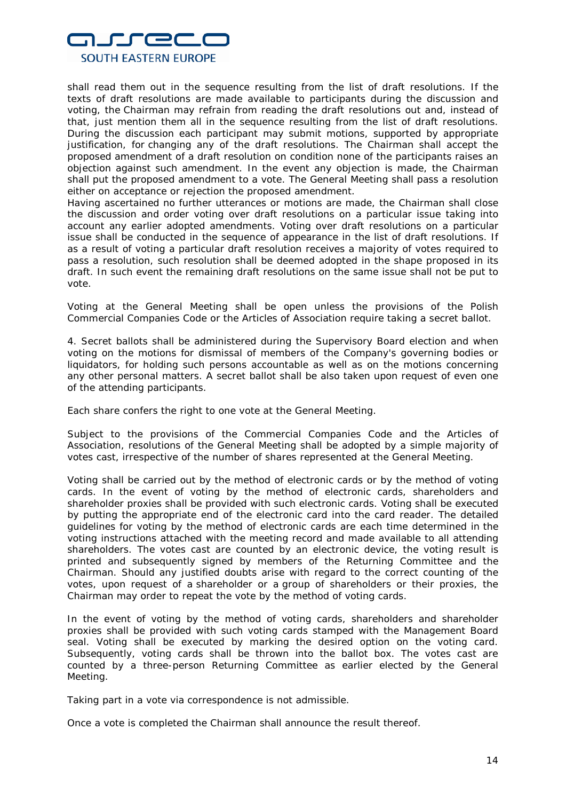

shall read them out in the sequence resulting from the list of draft resolutions. If the texts of draft resolutions are made available to participants during the discussion and voting, the Chairman may refrain from reading the draft resolutions out and, instead of that, just mention them all in the sequence resulting from the list of draft resolutions. During the discussion each participant may submit motions, supported by appropriate justification, for changing any of the draft resolutions. The Chairman shall accept the proposed amendment of a draft resolution on condition none of the participants raises an objection against such amendment. In the event any objection is made, the Chairman shall put the proposed amendment to a vote. The General Meeting shall pass a resolution either on acceptance or rejection the proposed amendment.

Having ascertained no further utterances or motions are made, the Chairman shall close the discussion and order voting over draft resolutions on a particular issue taking into account any earlier adopted amendments. Voting over draft resolutions on a particular issue shall be conducted in the sequence of appearance in the list of draft resolutions. If as a result of voting a particular draft resolution receives a majority of votes required to pass a resolution, such resolution shall be deemed adopted in the shape proposed in its draft. In such event the remaining draft resolutions on the same issue shall not be put to vote.

Voting at the General Meeting shall be open unless the provisions of the Polish Commercial Companies Code or the Articles of Association require taking a secret ballot.

4. Secret ballots shall be administered during the Supervisory Board election and when voting on the motions for dismissal of members of the Company's governing bodies or liquidators, for holding such persons accountable as well as on the motions concerning any other personal matters. A secret ballot shall be also taken upon request of even one of the attending participants.

Each share confers the right to one vote at the General Meeting.

Subject to the provisions of the Commercial Companies Code and the Articles of Association, resolutions of the General Meeting shall be adopted by a simple majority of votes cast, irrespective of the number of shares represented at the General Meeting.

Voting shall be carried out by the method of electronic cards or by the method of voting cards. In the event of voting by the method of electronic cards, shareholders and shareholder proxies shall be provided with such electronic cards. Voting shall be executed by putting the appropriate end of the electronic card into the card reader. The detailed guidelines for voting by the method of electronic cards are each time determined in the voting instructions attached with the meeting record and made available to all attending shareholders. The votes cast are counted by an electronic device, the voting result is printed and subsequently signed by members of the Returning Committee and the Chairman. Should any justified doubts arise with regard to the correct counting of the votes, upon request of a shareholder or a group of shareholders or their proxies, the Chairman may order to repeat the vote by the method of voting cards.

In the event of voting by the method of voting cards, shareholders and shareholder proxies shall be provided with such voting cards stamped with the Management Board seal. Voting shall be executed by marking the desired option on the voting card. Subsequently, voting cards shall be thrown into the ballot box. The votes cast are counted by a three-person Returning Committee as earlier elected by the General Meeting.

Taking part in a vote via correspondence is not admissible.

Once a vote is completed the Chairman shall announce the result thereof.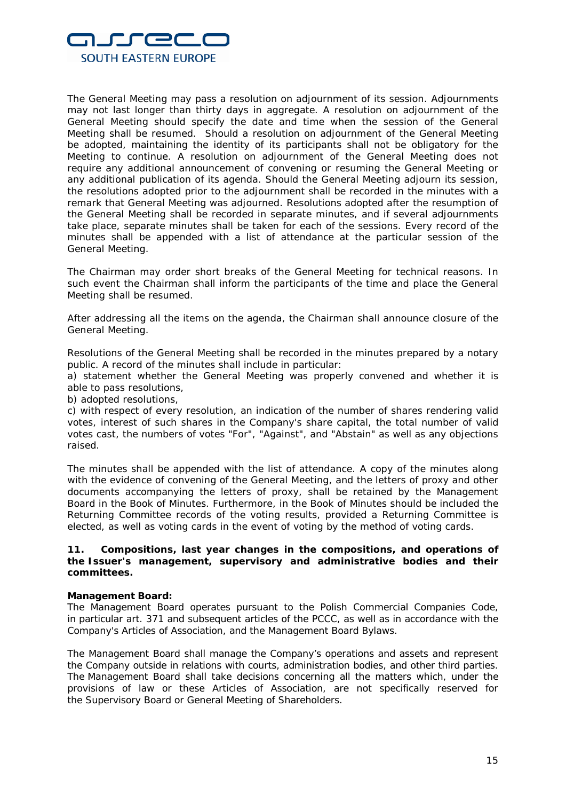

The General Meeting may pass a resolution on adjournment of its session. Adjournments may not last longer than thirty days in aggregate. A resolution on adjournment of the General Meeting should specify the date and time when the session of the General Meeting shall be resumed. Should a resolution on adjournment of the General Meeting be adopted, maintaining the identity of its participants shall not be obligatory for the Meeting to continue. A resolution on adjournment of the General Meeting does not require any additional announcement of convening or resuming the General Meeting or any additional publication of its agenda. Should the General Meeting adjourn its session, the resolutions adopted prior to the adjournment shall be recorded in the minutes with a remark that General Meeting was adjourned. Resolutions adopted after the resumption of the General Meeting shall be recorded in separate minutes, and if several adjournments take place, separate minutes shall be taken for each of the sessions. Every record of the minutes shall be appended with a list of attendance at the particular session of the General Meeting.

The Chairman may order short breaks of the General Meeting for technical reasons. In such event the Chairman shall inform the participants of the time and place the General Meeting shall be resumed.

After addressing all the items on the agenda, the Chairman shall announce closure of the General Meeting.

Resolutions of the General Meeting shall be recorded in the minutes prepared by a notary public. A record of the minutes shall include in particular:

a) statement whether the General Meeting was properly convened and whether it is able to pass resolutions,

b) adopted resolutions,

c) with respect of every resolution, an indication of the number of shares rendering valid votes, interest of such shares in the Company's share capital, the total number of valid votes cast, the numbers of votes "For", "Against", and "Abstain" as well as any objections raised.

The minutes shall be appended with the list of attendance. A copy of the minutes along with the evidence of convening of the General Meeting, and the letters of proxy and other documents accompanying the letters of proxy, shall be retained by the Management Board in the Book of Minutes. Furthermore, in the Book of Minutes should be included the Returning Committee records of the voting results, provided a Returning Committee is elected, as well as voting cards in the event of voting by the method of voting cards.

# **11. Compositions, last year changes in the compositions, and operations of the Issuer's management, supervisory and administrative bodies and their committees.**

#### **Management Board:**

The Management Board operates pursuant to the Polish Commercial Companies Code, in particular art. 371 and subsequent articles of the PCCC, as well as in accordance with the Company's Articles of Association, and the Management Board Bylaws.

The Management Board shall manage the Company's operations and assets and represent the Company outside in relations with courts, administration bodies, and other third parties. The Management Board shall take decisions concerning all the matters which, under the provisions of law or these Articles of Association, are not specifically reserved for the Supervisory Board or General Meeting of Shareholders.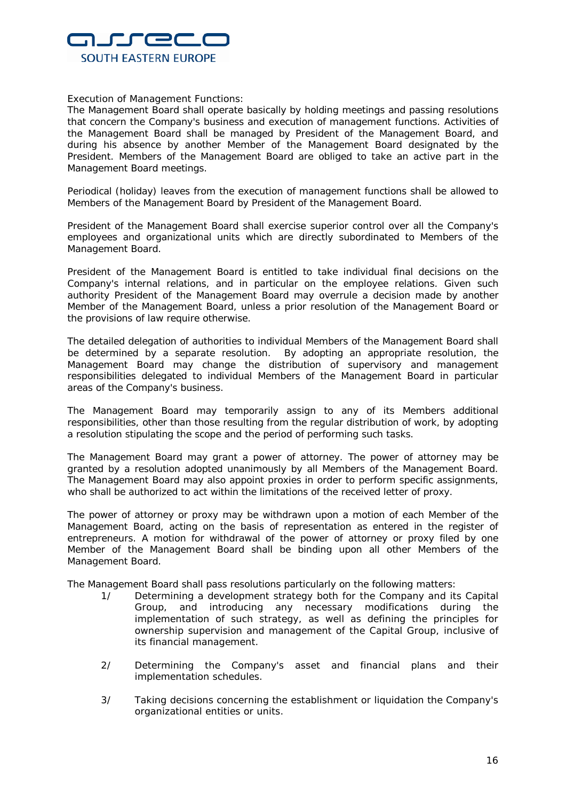

Execution of Management Functions:

The Management Board shall operate basically by holding meetings and passing resolutions that concern the Company's business and execution of management functions. Activities of the Management Board shall be managed by President of the Management Board, and during his absence by another Member of the Management Board designated by the President. Members of the Management Board are obliged to take an active part in the Management Board meetings.

Periodical (holiday) leaves from the execution of management functions shall be allowed to Members of the Management Board by President of the Management Board.

President of the Management Board shall exercise superior control over all the Company's employees and organizational units which are directly subordinated to Members of the Management Board.

President of the Management Board is entitled to take individual final decisions on the Company's internal relations, and in particular on the employee relations. Given such authority President of the Management Board may overrule a decision made by another Member of the Management Board, unless a prior resolution of the Management Board or the provisions of law require otherwise.

The detailed delegation of authorities to individual Members of the Management Board shall be determined by a separate resolution. By adopting an appropriate resolution, the Management Board may change the distribution of supervisory and management responsibilities delegated to individual Members of the Management Board in particular areas of the Company's business.

The Management Board may temporarily assign to any of its Members additional responsibilities, other than those resulting from the regular distribution of work, by adopting a resolution stipulating the scope and the period of performing such tasks.

The Management Board may grant a power of attorney. The power of attorney may be granted by a resolution adopted unanimously by all Members of the Management Board. The Management Board may also appoint proxies in order to perform specific assignments, who shall be authorized to act within the limitations of the received letter of proxy.

The power of attorney or proxy may be withdrawn upon a motion of each Member of the Management Board, acting on the basis of representation as entered in the register of entrepreneurs. A motion for withdrawal of the power of attorney or proxy filed by one Member of the Management Board shall be binding upon all other Members of the Management Board.

The Management Board shall pass resolutions particularly on the following matters:

- 1/ Determining a development strategy both for the Company and its Capital Group, and introducing any necessary modifications during the implementation of such strategy, as well as defining the principles for ownership supervision and management of the Capital Group, inclusive of its financial management.
- 2/ Determining the Company's asset and financial plans and their implementation schedules.
- 3/ Taking decisions concerning the establishment or liquidation the Company's organizational entities or units.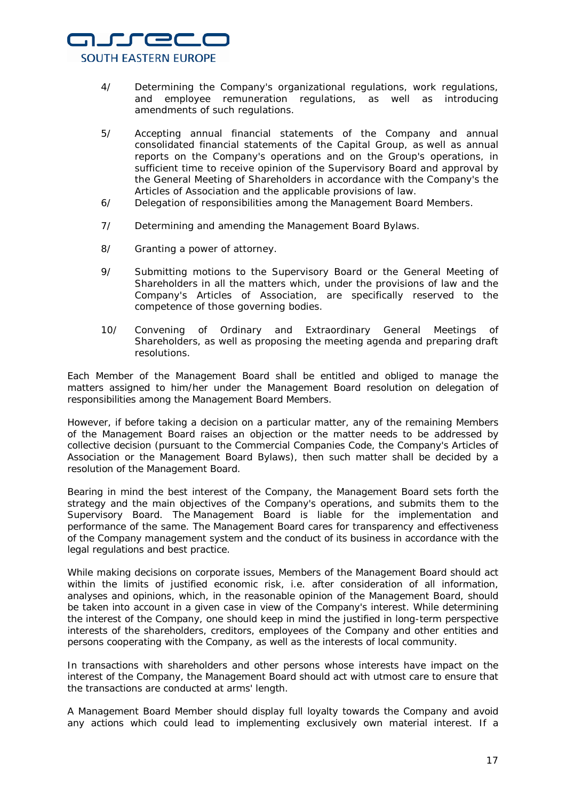

- 4/ Determining the Company's organizational regulations, work regulations, and employee remuneration regulations, as well as introducing amendments of such regulations.
- 5/ Accepting annual financial statements of the Company and annual consolidated financial statements of the Capital Group, as well as annual reports on the Company's operations and on the Group's operations, in sufficient time to receive opinion of the Supervisory Board and approval by the General Meeting of Shareholders in accordance with the Company's the Articles of Association and the applicable provisions of law.
- 6/ Delegation of responsibilities among the Management Board Members.
- 7/ Determining and amending the Management Board Bylaws.
- 8/ Granting a power of attorney.
- 9/ Submitting motions to the Supervisory Board or the General Meeting of Shareholders in all the matters which, under the provisions of law and the Company's Articles of Association, are specifically reserved to the competence of those governing bodies.
- 10/ Convening of Ordinary and Extraordinary General Meetings of Shareholders, as well as proposing the meeting agenda and preparing draft resolutions.

Each Member of the Management Board shall be entitled and obliged to manage the matters assigned to him/her under the Management Board resolution on delegation of responsibilities among the Management Board Members.

However, if before taking a decision on a particular matter, any of the remaining Members of the Management Board raises an objection or the matter needs to be addressed by collective decision (pursuant to the Commercial Companies Code, the Company's Articles of Association or the Management Board Bylaws), then such matter shall be decided by a resolution of the Management Board.

Bearing in mind the best interest of the Company, the Management Board sets forth the strategy and the main objectives of the Company's operations, and submits them to the Supervisory Board. The Management Board is liable for the implementation and performance of the same. The Management Board cares for transparency and effectiveness of the Company management system and the conduct of its business in accordance with the legal regulations and best practice.

While making decisions on corporate issues, Members of the Management Board should act within the limits of justified economic risk, i.e. after consideration of all information, analyses and opinions, which, in the reasonable opinion of the Management Board, should be taken into account in a given case in view of the Company's interest. While determining the interest of the Company, one should keep in mind the justified in long-term perspective interests of the shareholders, creditors, employees of the Company and other entities and persons cooperating with the Company, as well as the interests of local community.

In transactions with shareholders and other persons whose interests have impact on the interest of the Company, the Management Board should act with utmost care to ensure that the transactions are conducted at arms' length.

A Management Board Member should display full loyalty towards the Company and avoid any actions which could lead to implementing exclusively own material interest. If a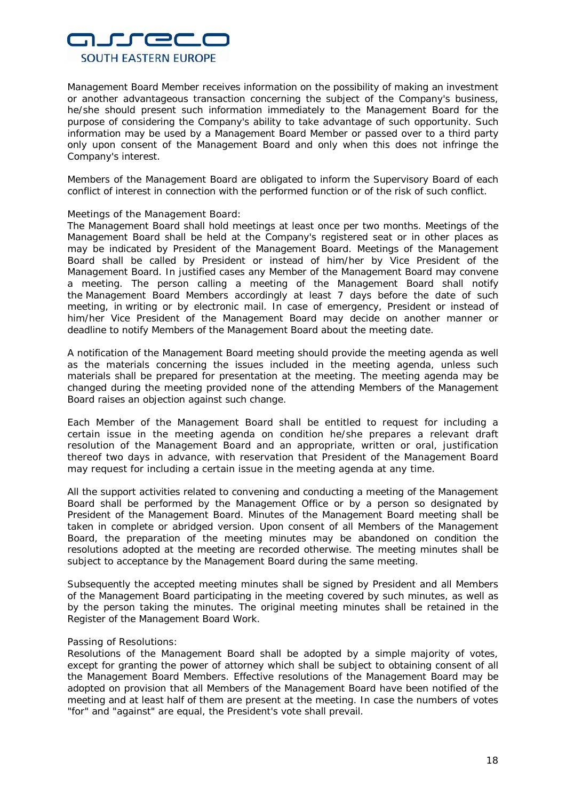

Management Board Member receives information on the possibility of making an investment or another advantageous transaction concerning the subject of the Company's business, he/she should present such information immediately to the Management Board for the purpose of considering the Company's ability to take advantage of such opportunity. Such information may be used by a Management Board Member or passed over to a third party only upon consent of the Management Board and only when this does not infringe the Company's interest.

Members of the Management Board are obligated to inform the Supervisory Board of each conflict of interest in connection with the performed function or of the risk of such conflict.

# Meetings of the Management Board:

The Management Board shall hold meetings at least once per two months. Meetings of the Management Board shall be held at the Company's registered seat or in other places as may be indicated by President of the Management Board. Meetings of the Management Board shall be called by President or instead of him/her by Vice President of the Management Board. In justified cases any Member of the Management Board may convene a meeting. The person calling a meeting of the Management Board shall notify the Management Board Members accordingly at least 7 days before the date of such meeting, in writing or by electronic mail. In case of emergency, President or instead of him/her Vice President of the Management Board may decide on another manner or deadline to notify Members of the Management Board about the meeting date.

A notification of the Management Board meeting should provide the meeting agenda as well as the materials concerning the issues included in the meeting agenda, unless such materials shall be prepared for presentation at the meeting. The meeting agenda may be changed during the meeting provided none of the attending Members of the Management Board raises an objection against such change.

Each Member of the Management Board shall be entitled to request for including a certain issue in the meeting agenda on condition he/she prepares a relevant draft resolution of the Management Board and an appropriate, written or oral, justification thereof two days in advance, with reservation that President of the Management Board may request for including a certain issue in the meeting agenda at any time.

All the support activities related to convening and conducting a meeting of the Management Board shall be performed by the Management Office or by a person so designated by President of the Management Board. Minutes of the Management Board meeting shall be taken in complete or abridged version. Upon consent of all Members of the Management Board, the preparation of the meeting minutes may be abandoned on condition the resolutions adopted at the meeting are recorded otherwise. The meeting minutes shall be subject to acceptance by the Management Board during the same meeting.

Subsequently the accepted meeting minutes shall be signed by President and all Members of the Management Board participating in the meeting covered by such minutes, as well as by the person taking the minutes. The original meeting minutes shall be retained in the Register of the Management Board Work.

# Passing of Resolutions:

Resolutions of the Management Board shall be adopted by a simple majority of votes, except for granting the power of attorney which shall be subject to obtaining consent of all the Management Board Members. Effective resolutions of the Management Board may be adopted on provision that all Members of the Management Board have been notified of the meeting and at least half of them are present at the meeting. In case the numbers of votes "for" and "against" are equal, the President's vote shall prevail.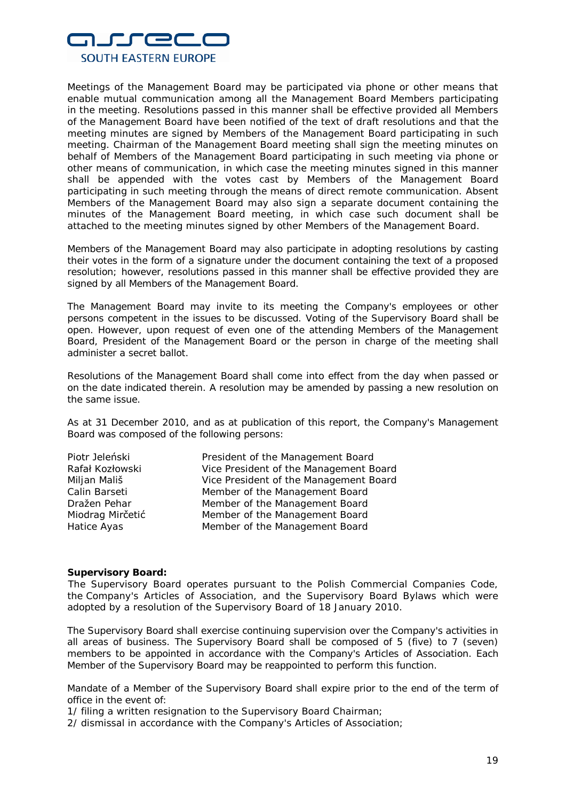

Meetings of the Management Board may be participated via phone or other means that enable mutual communication among all the Management Board Members participating in the meeting. Resolutions passed in this manner shall be effective provided all Members of the Management Board have been notified of the text of draft resolutions and that the meeting minutes are signed by Members of the Management Board participating in such meeting. Chairman of the Management Board meeting shall sign the meeting minutes on behalf of Members of the Management Board participating in such meeting via phone or other means of communication, in which case the meeting minutes signed in this manner shall be appended with the votes cast by Members of the Management Board participating in such meeting through the means of direct remote communication. Absent Members of the Management Board may also sign a separate document containing the minutes of the Management Board meeting, in which case such document shall be attached to the meeting minutes signed by other Members of the Management Board.

Members of the Management Board may also participate in adopting resolutions by casting their votes in the form of a signature under the document containing the text of a proposed resolution; however, resolutions passed in this manner shall be effective provided they are signed by all Members of the Management Board.

The Management Board may invite to its meeting the Company's employees or other persons competent in the issues to be discussed. Voting of the Supervisory Board shall be open. However, upon request of even one of the attending Members of the Management Board, President of the Management Board or the person in charge of the meeting shall administer a secret ballot.

Resolutions of the Management Board shall come into effect from the day when passed or on the date indicated therein. A resolution may be amended by passing a new resolution on the same issue.

As at 31 December 2010, and as at publication of this report, the Company's Management Board was composed of the following persons:

| Piotr Jeleński   | President of the Management Board      |
|------------------|----------------------------------------|
| Rafał Kozłowski  | Vice President of the Management Board |
| Miljan Mališ     | Vice President of the Management Board |
| Calin Barseti    | Member of the Management Board         |
| Dražen Pehar     | Member of the Management Board         |
| Miodrag Mirčetić | Member of the Management Board         |
| Hatice Ayas      | Member of the Management Board         |

#### **Supervisory Board:**

The Supervisory Board operates pursuant to the Polish Commercial Companies Code, the Company's Articles of Association, and the Supervisory Board Bylaws which were adopted by a resolution of the Supervisory Board of 18 January 2010.

The Supervisory Board shall exercise continuing supervision over the Company's activities in all areas of business. The Supervisory Board shall be composed of 5 (five) to 7 (seven) members to be appointed in accordance with the Company's Articles of Association. Each Member of the Supervisory Board may be reappointed to perform this function.

Mandate of a Member of the Supervisory Board shall expire prior to the end of the term of office in the event of:

1/ filing a written resignation to the Supervisory Board Chairman;

2/ dismissal in accordance with the Company's Articles of Association;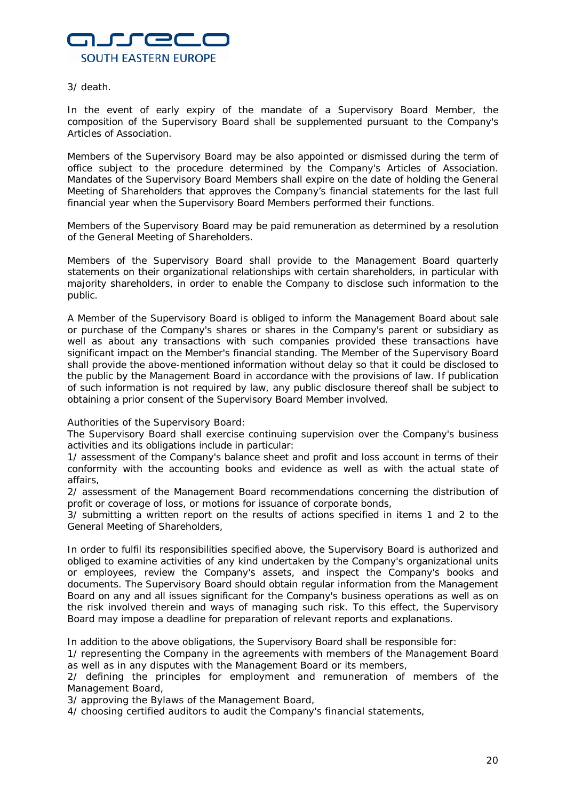

# 3/ death.

In the event of early expiry of the mandate of a Supervisory Board Member, the composition of the Supervisory Board shall be supplemented pursuant to the Company's Articles of Association.

Members of the Supervisory Board may be also appointed or dismissed during the term of office subject to the procedure determined by the Company's Articles of Association. Mandates of the Supervisory Board Members shall expire on the date of holding the General Meeting of Shareholders that approves the Company's financial statements for the last full financial year when the Supervisory Board Members performed their functions.

Members of the Supervisory Board may be paid remuneration as determined by a resolution of the General Meeting of Shareholders.

Members of the Supervisory Board shall provide to the Management Board quarterly statements on their organizational relationships with certain shareholders, in particular with majority shareholders, in order to enable the Company to disclose such information to the public.

A Member of the Supervisory Board is obliged to inform the Management Board about sale or purchase of the Company's shares or shares in the Company's parent or subsidiary as well as about any transactions with such companies provided these transactions have significant impact on the Member's financial standing. The Member of the Supervisory Board shall provide the above-mentioned information without delay so that it could be disclosed to the public by the Management Board in accordance with the provisions of law. If publication of such information is not required by law, any public disclosure thereof shall be subject to obtaining a prior consent of the Supervisory Board Member involved.

Authorities of the Supervisory Board:

The Supervisory Board shall exercise continuing supervision over the Company's business activities and its obligations include in particular:

1/ assessment of the Company's balance sheet and profit and loss account in terms of their conformity with the accounting books and evidence as well as with the actual state of affairs,

2/ assessment of the Management Board recommendations concerning the distribution of profit or coverage of loss, or motions for issuance of corporate bonds,

3/ submitting a written report on the results of actions specified in items 1 and 2 to the General Meeting of Shareholders,

In order to fulfil its responsibilities specified above, the Supervisory Board is authorized and obliged to examine activities of any kind undertaken by the Company's organizational units or employees, review the Company's assets, and inspect the Company's books and documents. The Supervisory Board should obtain regular information from the Management Board on any and all issues significant for the Company's business operations as well as on the risk involved therein and ways of managing such risk. To this effect, the Supervisory Board may impose a deadline for preparation of relevant reports and explanations.

In addition to the above obligations, the Supervisory Board shall be responsible for:

1/ representing the Company in the agreements with members of the Management Board as well as in any disputes with the Management Board or its members,

2/ defining the principles for employment and remuneration of members of the Management Board,

3/ approving the Bylaws of the Management Board,

4/ choosing certified auditors to audit the Company's financial statements,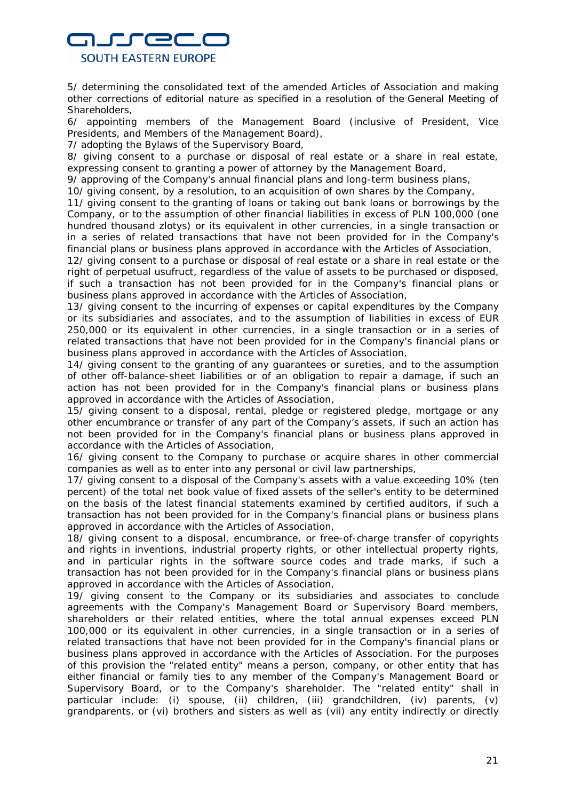

5/ determining the consolidated text of the amended Articles of Association and making other corrections of editorial nature as specified in a resolution of the General Meeting of Shareholders,

6/ appointing members of the Management Board (inclusive of President, Vice Presidents, and Members of the Management Board),

7/ adopting the Bylaws of the Supervisory Board,

8/ giving consent to a purchase or disposal of real estate or a share in real estate, expressing consent to granting a power of attorney by the Management Board,

9/ approving of the Company's annual financial plans and long-term business plans,

10/ giving consent, by a resolution, to an acquisition of own shares by the Company,

11/ giving consent to the granting of loans or taking out bank loans or borrowings by the Company, or to the assumption of other financial liabilities in excess of PLN 100,000 (one hundred thousand zlotys) or its equivalent in other currencies, in a single transaction or in a series of related transactions that have not been provided for in the Company's financial plans or business plans approved in accordance with the Articles of Association,

12/ giving consent to a purchase or disposal of real estate or a share in real estate or the right of perpetual usufruct, regardless of the value of assets to be purchased or disposed, if such a transaction has not been provided for in the Company's financial plans or business plans approved in accordance with the Articles of Association,

13/ giving consent to the incurring of expenses or capital expenditures by the Company or its subsidiaries and associates, and to the assumption of liabilities in excess of EUR 250,000 or its equivalent in other currencies, in a single transaction or in a series of related transactions that have not been provided for in the Company's financial plans or business plans approved in accordance with the Articles of Association,

14/ giving consent to the granting of any guarantees or sureties, and to the assumption of other off-balance-sheet liabilities or of an obligation to repair a damage, if such an action has not been provided for in the Company's financial plans or business plans approved in accordance with the Articles of Association,

15/ giving consent to a disposal, rental, pledge or registered pledge, mortgage or any other encumbrance or transfer of any part of the Company's assets, if such an action has not been provided for in the Company's financial plans or business plans approved in accordance with the Articles of Association,

16/ giving consent to the Company to purchase or acquire shares in other commercial companies as well as to enter into any personal or civil law partnerships,

17/ giving consent to a disposal of the Company's assets with a value exceeding 10% (ten percent) of the total net book value of fixed assets of the seller's entity to be determined on the basis of the latest financial statements examined by certified auditors, if such a transaction has not been provided for in the Company's financial plans or business plans approved in accordance with the Articles of Association,

18/ giving consent to a disposal, encumbrance, or free-of-charge transfer of copyrights and rights in inventions, industrial property rights, or other intellectual property rights, and in particular rights in the software source codes and trade marks, if such a transaction has not been provided for in the Company's financial plans or business plans approved in accordance with the Articles of Association,

19/ giving consent to the Company or its subsidiaries and associates to conclude agreements with the Company's Management Board or Supervisory Board members, shareholders or their related entities, where the total annual expenses exceed PLN 100,000 or its equivalent in other currencies, in a single transaction or in a series of related transactions that have not been provided for in the Company's financial plans or business plans approved in accordance with the Articles of Association. For the purposes of this provision the "related entity" means a person, company, or other entity that has either financial or family ties to any member of the Company's Management Board or Supervisory Board, or to the Company's shareholder. The "related entity" shall in particular include: (i) spouse, (ii) children, (iii) grandchildren, (iv) parents, (v) grandparents, or (vi) brothers and sisters as well as (vii) any entity indirectly or directly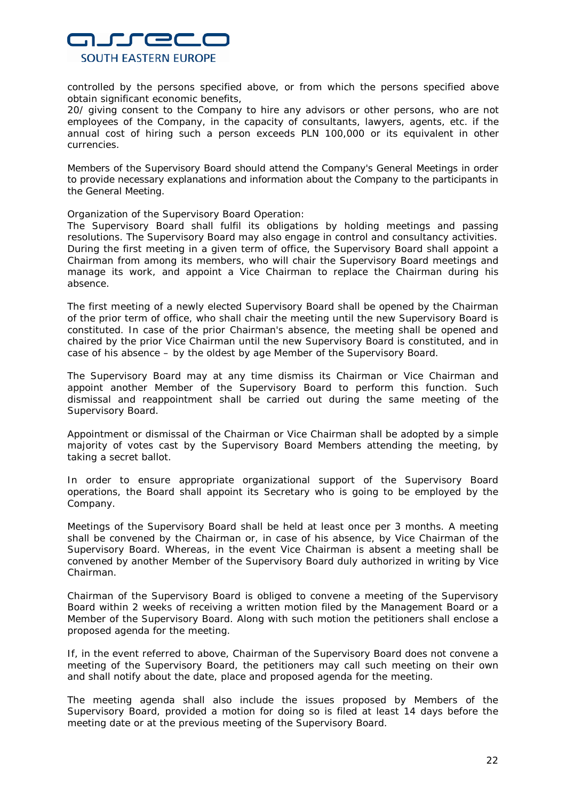

controlled by the persons specified above, or from which the persons specified above obtain significant economic benefits,

20/ giving consent to the Company to hire any advisors or other persons, who are not employees of the Company, in the capacity of consultants, lawyers, agents, etc. if the annual cost of hiring such a person exceeds PLN 100,000 or its equivalent in other currencies.

Members of the Supervisory Board should attend the Company's General Meetings in order to provide necessary explanations and information about the Company to the participants in the General Meeting.

Organization of the Supervisory Board Operation:

The Supervisory Board shall fulfil its obligations by holding meetings and passing resolutions. The Supervisory Board may also engage in control and consultancy activities. During the first meeting in a given term of office, the Supervisory Board shall appoint a Chairman from among its members, who will chair the Supervisory Board meetings and manage its work, and appoint a Vice Chairman to replace the Chairman during his absence.

The first meeting of a newly elected Supervisory Board shall be opened by the Chairman of the prior term of office, who shall chair the meeting until the new Supervisory Board is constituted. In case of the prior Chairman's absence, the meeting shall be opened and chaired by the prior Vice Chairman until the new Supervisory Board is constituted, and in case of his absence – by the oldest by age Member of the Supervisory Board.

The Supervisory Board may at any time dismiss its Chairman or Vice Chairman and appoint another Member of the Supervisory Board to perform this function. Such dismissal and reappointment shall be carried out during the same meeting of the Supervisory Board.

Appointment or dismissal of the Chairman or Vice Chairman shall be adopted by a simple majority of votes cast by the Supervisory Board Members attending the meeting, by taking a secret ballot.

In order to ensure appropriate organizational support of the Supervisory Board operations, the Board shall appoint its Secretary who is going to be employed by the Company.

Meetings of the Supervisory Board shall be held at least once per 3 months. A meeting shall be convened by the Chairman or, in case of his absence, by Vice Chairman of the Supervisory Board. Whereas, in the event Vice Chairman is absent a meeting shall be convened by another Member of the Supervisory Board duly authorized in writing by Vice Chairman.

Chairman of the Supervisory Board is obliged to convene a meeting of the Supervisory Board within 2 weeks of receiving a written motion filed by the Management Board or a Member of the Supervisory Board. Along with such motion the petitioners shall enclose a proposed agenda for the meeting.

If, in the event referred to above, Chairman of the Supervisory Board does not convene a meeting of the Supervisory Board, the petitioners may call such meeting on their own and shall notify about the date, place and proposed agenda for the meeting.

The meeting agenda shall also include the issues proposed by Members of the Supervisory Board, provided a motion for doing so is filed at least 14 days before the meeting date or at the previous meeting of the Supervisory Board.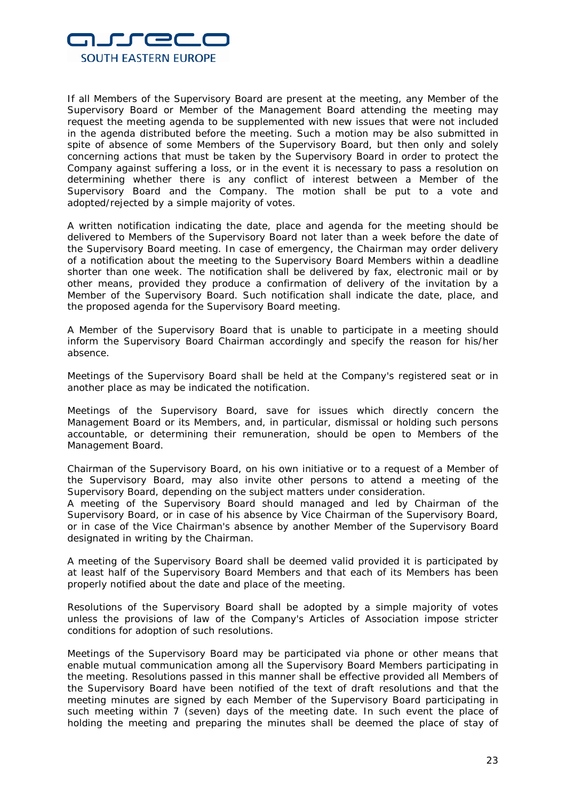

If all Members of the Supervisory Board are present at the meeting, any Member of the Supervisory Board or Member of the Management Board attending the meeting may request the meeting agenda to be supplemented with new issues that were not included in the agenda distributed before the meeting. Such a motion may be also submitted in spite of absence of some Members of the Supervisory Board, but then only and solely concerning actions that must be taken by the Supervisory Board in order to protect the Company against suffering a loss, or in the event it is necessary to pass a resolution on determining whether there is any conflict of interest between a Member of the Supervisory Board and the Company. The motion shall be put to a vote and adopted/rejected by a simple majority of votes.

A written notification indicating the date, place and agenda for the meeting should be delivered to Members of the Supervisory Board not later than a week before the date of the Supervisory Board meeting. In case of emergency, the Chairman may order delivery of a notification about the meeting to the Supervisory Board Members within a deadline shorter than one week. The notification shall be delivered by fax, electronic mail or by other means, provided they produce a confirmation of delivery of the invitation by a Member of the Supervisory Board. Such notification shall indicate the date, place, and the proposed agenda for the Supervisory Board meeting.

A Member of the Supervisory Board that is unable to participate in a meeting should inform the Supervisory Board Chairman accordingly and specify the reason for his/her absence.

Meetings of the Supervisory Board shall be held at the Company's registered seat or in another place as may be indicated the notification.

Meetings of the Supervisory Board, save for issues which directly concern the Management Board or its Members, and, in particular, dismissal or holding such persons accountable, or determining their remuneration, should be open to Members of the Management Board.

Chairman of the Supervisory Board, on his own initiative or to a request of a Member of the Supervisory Board, may also invite other persons to attend a meeting of the Supervisory Board, depending on the subject matters under consideration.

A meeting of the Supervisory Board should managed and led by Chairman of the Supervisory Board, or in case of his absence by Vice Chairman of the Supervisory Board, or in case of the Vice Chairman's absence by another Member of the Supervisory Board designated in writing by the Chairman.

A meeting of the Supervisory Board shall be deemed valid provided it is participated by at least half of the Supervisory Board Members and that each of its Members has been properly notified about the date and place of the meeting.

Resolutions of the Supervisory Board shall be adopted by a simple majority of votes unless the provisions of law of the Company's Articles of Association impose stricter conditions for adoption of such resolutions.

Meetings of the Supervisory Board may be participated via phone or other means that enable mutual communication among all the Supervisory Board Members participating in the meeting. Resolutions passed in this manner shall be effective provided all Members of the Supervisory Board have been notified of the text of draft resolutions and that the meeting minutes are signed by each Member of the Supervisory Board participating in such meeting within 7 (seven) days of the meeting date. In such event the place of holding the meeting and preparing the minutes shall be deemed the place of stay of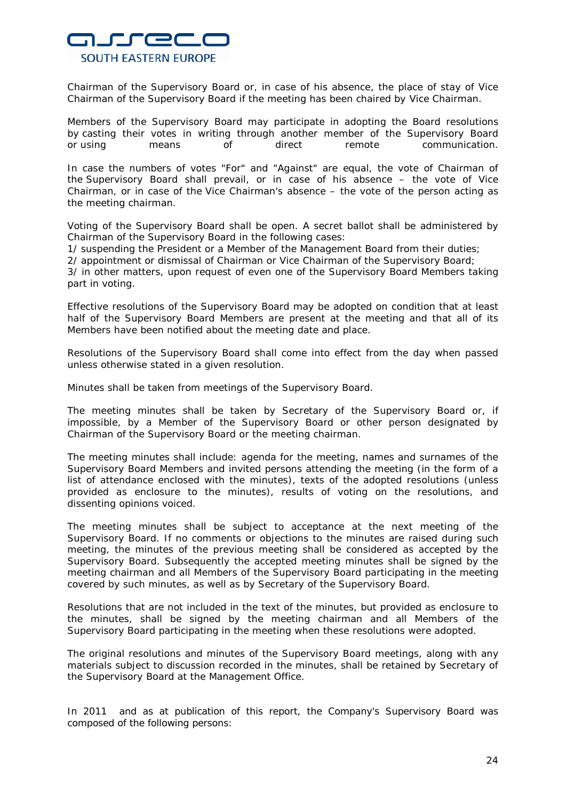

Chairman of the Supervisory Board or, in case of his absence, the place of stay of Vice Chairman of the Supervisory Board if the meeting has been chaired by Vice Chairman.

Members of the Supervisory Board may participate in adopting the Board resolutions by casting their votes in writing through another member of the Supervisory Board or using means of direct remote communication.

In case the numbers of votes "For" and "Against" are equal, the vote of Chairman of the Supervisory Board shall prevail, or in case of his absence – the vote of Vice Chairman, or in case of the Vice Chairman's absence – the vote of the person acting as the meeting chairman.

Voting of the Supervisory Board shall be open. A secret ballot shall be administered by Chairman of the Supervisory Board in the following cases:

1/ suspending the President or a Member of the Management Board from their duties;

2/ appointment or dismissal of Chairman or Vice Chairman of the Supervisory Board;

3/ in other matters, upon request of even one of the Supervisory Board Members taking part in voting.

Effective resolutions of the Supervisory Board may be adopted on condition that at least half of the Supervisory Board Members are present at the meeting and that all of its Members have been notified about the meeting date and place.

Resolutions of the Supervisory Board shall come into effect from the day when passed unless otherwise stated in a given resolution.

Minutes shall be taken from meetings of the Supervisory Board.

The meeting minutes shall be taken by Secretary of the Supervisory Board or, if impossible, by a Member of the Supervisory Board or other person designated by Chairman of the Supervisory Board or the meeting chairman.

The meeting minutes shall include: agenda for the meeting, names and surnames of the Supervisory Board Members and invited persons attending the meeting (in the form of a list of attendance enclosed with the minutes), texts of the adopted resolutions (unless provided as enclosure to the minutes), results of voting on the resolutions, and dissenting opinions voiced.

The meeting minutes shall be subject to acceptance at the next meeting of the Supervisory Board. If no comments or objections to the minutes are raised during such meeting, the minutes of the previous meeting shall be considered as accepted by the Supervisory Board. Subsequently the accepted meeting minutes shall be signed by the meeting chairman and all Members of the Supervisory Board participating in the meeting covered by such minutes, as well as by Secretary of the Supervisory Board.

Resolutions that are not included in the text of the minutes, but provided as enclosure to the minutes, shall be signed by the meeting chairman and all Members of the Supervisory Board participating in the meeting when these resolutions were adopted.

The original resolutions and minutes of the Supervisory Board meetings, along with any materials subject to discussion recorded in the minutes, shall be retained by Secretary of the Supervisory Board at the Management Office.

In 2011 and as at publication of this report, the Company's Supervisory Board was composed of the following persons: